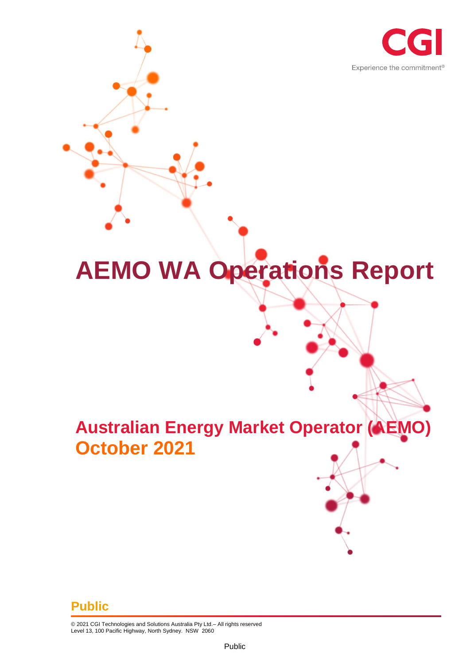

# **AEMO WA Operations Report**

## **Australian Energy Market Operator (AEMO) October 2021**

#### **Public**

© 2021 CGI Technologies and Solutions Australia Pty Ltd.– All rights reserved Level 13, 100 Pacific Highway, North Sydney. NSW 2060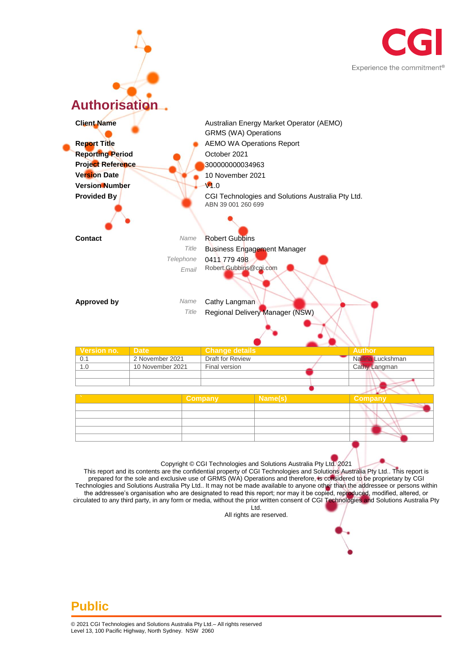



This report and its contents are the confidential property of CGI Technologies and Solutions Australia Pty Ltd.. This report is prepared for the sole and exclusive use of GRMS (WA) Operations and therefore, is considered to be proprietary by CGI Technologies and Solutions Australia Pty Ltd.. It may not be made available to anyone other than the addressee or persons within the addressee's organisation who are designated to read this report; nor may it be copied, reproduced, modified, altered, or circulated to any third party, in any form or media, without the prior written consent of CGI Technologies and Solutions Australia Pty Ltd.

All rights are reserved.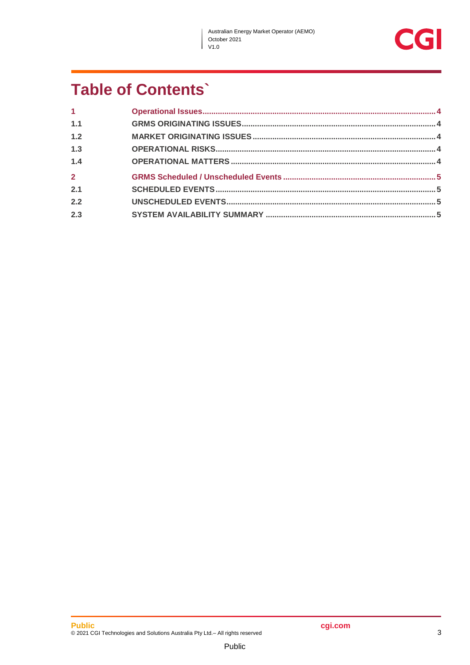$\overline{\phantom{a}}$ 



## **Table of Contents'**

| 1 <sup>1</sup> |  |
|----------------|--|
| 1.1            |  |
| 1.2            |  |
| 1.3            |  |
| 1.4            |  |
| $\overline{2}$ |  |
| 2.1            |  |
| 2.2            |  |
| 2.3            |  |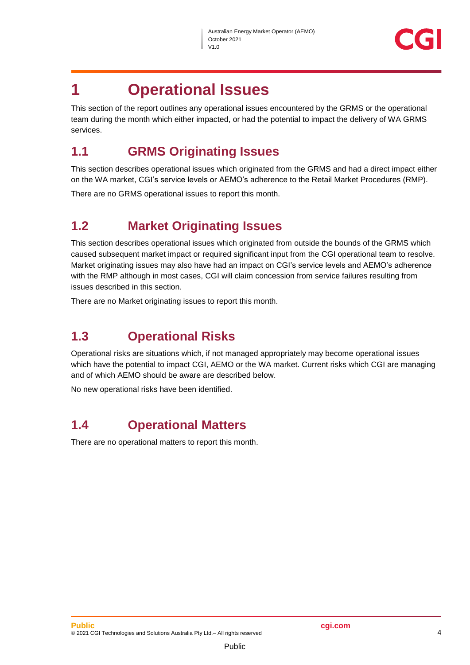

## <span id="page-3-0"></span>**1 Operational Issues**

This section of the report outlines any operational issues encountered by the GRMS or the operational team during the month which either impacted, or had the potential to impact the delivery of WA GRMS services.

#### <span id="page-3-1"></span>**1.1 GRMS Originating Issues**

This section describes operational issues which originated from the GRMS and had a direct impact either on the WA market, CGI's service levels or AEMO's adherence to the Retail Market Procedures (RMP).

There are no GRMS operational issues to report this month.

#### <span id="page-3-2"></span>**1.2 Market Originating Issues**

This section describes operational issues which originated from outside the bounds of the GRMS which caused subsequent market impact or required significant input from the CGI operational team to resolve. Market originating issues may also have had an impact on CGI's service levels and AEMO's adherence with the RMP although in most cases, CGI will claim concession from service failures resulting from issues described in this section.

There are no Market originating issues to report this month.

#### <span id="page-3-3"></span>**1.3 Operational Risks**

Operational risks are situations which, if not managed appropriately may become operational issues which have the potential to impact CGI, AEMO or the WA market. Current risks which CGI are managing and of which AEMO should be aware are described below.

No new operational risks have been identified.

#### <span id="page-3-4"></span>**1.4 Operational Matters**

There are no operational matters to report this month.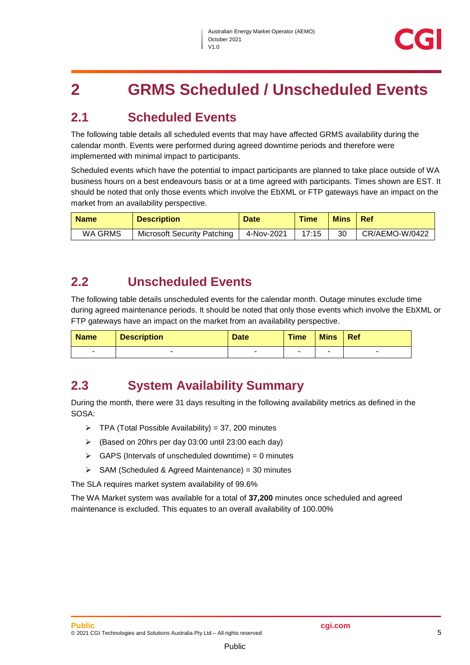## <span id="page-4-0"></span>**2 GRMS Scheduled / Unscheduled Events**

#### <span id="page-4-1"></span>**2.1 Scheduled Events**

The following table details all scheduled events that may have affected GRMS availability during the calendar month. Events were performed during agreed downtime periods and therefore were implemented with minimal impact to participants.

Scheduled events which have the potential to impact participants are planned to take place outside of WA business hours on a best endeavours basis or at a time agreed with participants. Times shown are EST. It should be noted that only those events which involve the EbXML or FTP gateways have an impact on the market from an availability perspective.

| <b>Name</b> | <b>Description</b>                 | <b>Date</b> | <b>Time</b> | <b>Mins</b> | <b>Ref</b>     |
|-------------|------------------------------------|-------------|-------------|-------------|----------------|
| WA GRMS     | <b>Microsoft Security Patching</b> | 4-Nov-2021  | 17:15       | 30          | CR/AEMO-W/0422 |

#### <span id="page-4-2"></span>**2.2 Unscheduled Events**

The following table details unscheduled events for the calendar month. Outage minutes exclude time during agreed maintenance periods. It should be noted that only those events which involve the EbXML or FTP gateways have an impact on the market from an availability perspective.

| <b>Name</b> | <b>Description</b> | <b>Date</b> | <b>Time</b> | <b>Mins</b> | Ref |
|-------------|--------------------|-------------|-------------|-------------|-----|
| -           |                    |             |             |             | -   |

#### <span id="page-4-3"></span>**2.3 System Availability Summary**

During the month, there were 31 days resulting in the following availability metrics as defined in the SOSA:

- $\triangleright$  TPA (Total Possible Availability) = 37, 200 minutes
- (Based on 20hrs per day 03:00 until 23:00 each day)
- $\triangleright$  GAPS (Intervals of unscheduled downtime) = 0 minutes
- $\triangleright$  SAM (Scheduled & Agreed Maintenance) = 30 minutes

The SLA requires market system availability of 99.6%

The WA Market system was available for a total of **37,200** minutes once scheduled and agreed maintenance is excluded. This equates to an overall availability of 100.00%